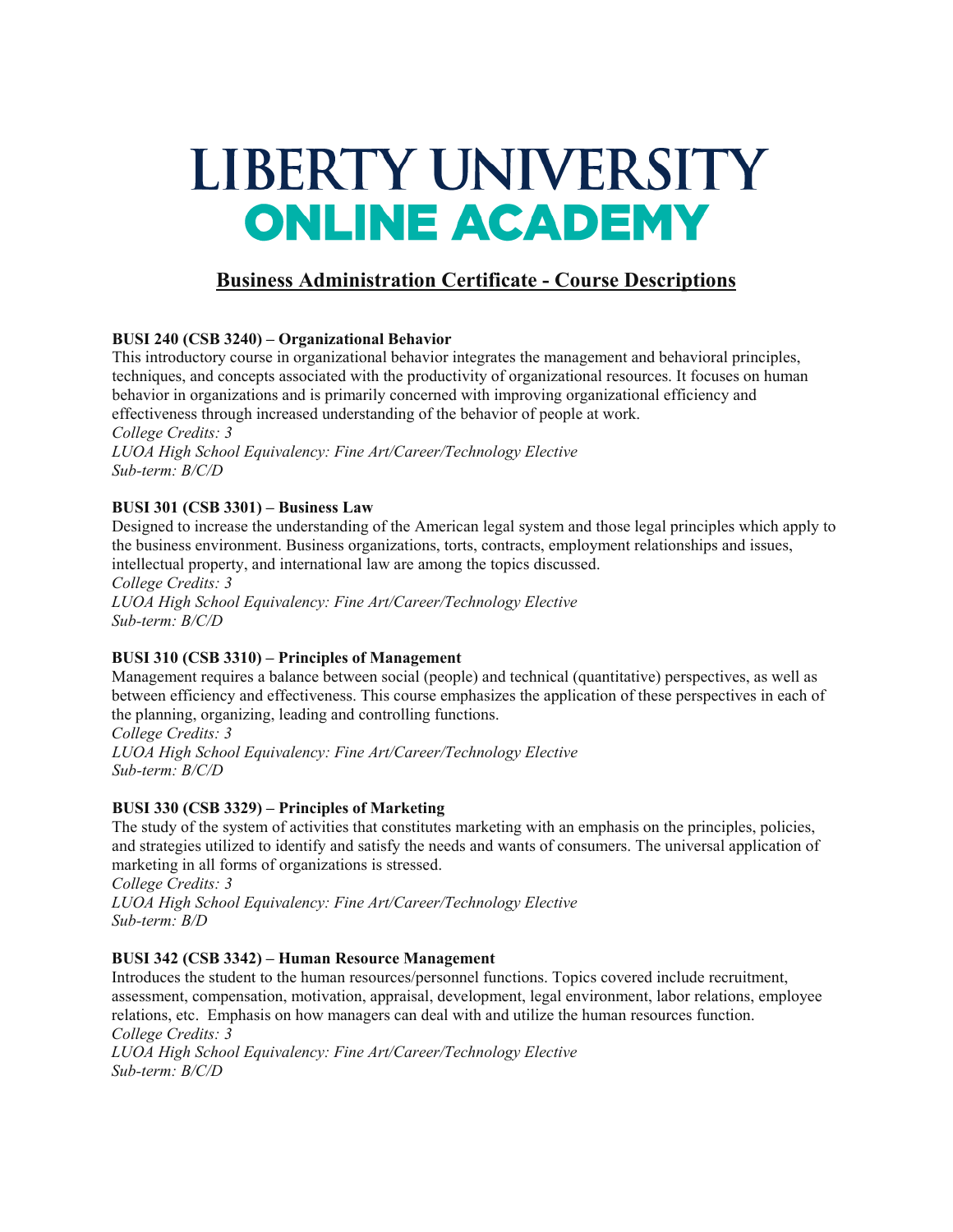# LIBERTY UNIVERSITY **ONLINE ACADEMY**

# **Business Administration Certificate - Course Descriptions**

### **BUSI 240 (CSB 3240) – Organizational Behavior**

This introductory course in organizational behavior integrates the management and behavioral principles, techniques, and concepts associated with the productivity of organizational resources. It focuses on human behavior in organizations and is primarily concerned with improving organizational efficiency and effectiveness through increased understanding of the behavior of people at work.

*College Credits: 3 LUOA High School Equivalency: Fine Art/Career/Technology Elective Sub-term: B/C/D*

#### **BUSI 301 (CSB 3301) – Business Law**

Designed to increase the understanding of the American legal system and those legal principles which apply to the business environment. Business organizations, torts, contracts, employment relationships and issues, intellectual property, and international law are among the topics discussed. *College Credits: 3 LUOA High School Equivalency: Fine Art/Career/Technology Elective*

*Sub-term: B/C/D*

### **BUSI 310 (CSB 3310) – Principles of Management**

Management requires a balance between social (people) and technical (quantitative) perspectives, as well as between efficiency and effectiveness. This course emphasizes the application of these perspectives in each of the planning, organizing, leading and controlling functions.

*College Credits: 3 LUOA High School Equivalency: Fine Art/Career/Technology Elective Sub-term: B/C/D*

### **BUSI 330 (CSB 3329) – Principles of Marketing**

The study of the system of activities that constitutes marketing with an emphasis on the principles, policies, and strategies utilized to identify and satisfy the needs and wants of consumers. The universal application of marketing in all forms of organizations is stressed.

*College Credits: 3 LUOA High School Equivalency: Fine Art/Career/Technology Elective Sub-term: B/D*

#### **BUSI 342 (CSB 3342) – Human Resource Management**

Introduces the student to the human resources/personnel functions. Topics covered include recruitment, assessment, compensation, motivation, appraisal, development, legal environment, labor relations, employee relations, etc. Emphasis on how managers can deal with and utilize the human resources function. *College Credits: 3 LUOA High School Equivalency: Fine Art/Career/Technology Elective Sub-term: B/C/D*